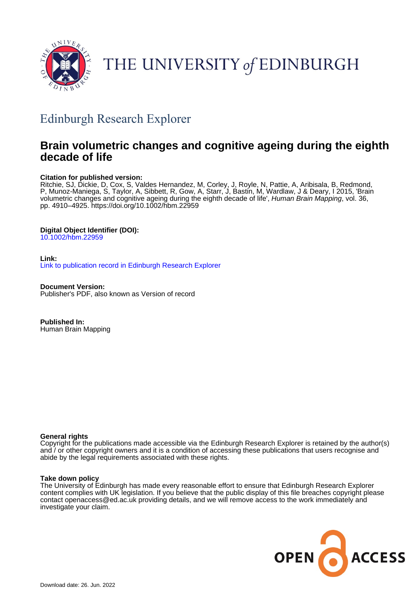

# THE UNIVERSITY of EDINBURGH

## Edinburgh Research Explorer

### **Brain volumetric changes and cognitive ageing during the eighth decade of life**

#### **Citation for published version:**

Ritchie, SJ, Dickie, D, Cox, S, Valdes Hernandez, M, Corley, J, Royle, N, Pattie, A, Aribisala, B, Redmond, P, Munoz-Maniega, S, Taylor, A, Sibbett, R, Gow, A, Starr, J, Bastin, M, Wardlaw, J & Deary, I 2015, 'Brain volumetric changes and cognitive ageing during the eighth decade of life', Human Brain Mapping, vol. 36, pp. 4910–4925.<https://doi.org/10.1002/hbm.22959>

#### **Digital Object Identifier (DOI):**

[10.1002/hbm.22959](https://doi.org/10.1002/hbm.22959)

#### **Link:**

[Link to publication record in Edinburgh Research Explorer](https://www.research.ed.ac.uk/en/publications/7ac3a890-1336-4554-8953-44f87bbb7a6e)

**Document Version:** Publisher's PDF, also known as Version of record

**Published In:** Human Brain Mapping

#### **General rights**

Copyright for the publications made accessible via the Edinburgh Research Explorer is retained by the author(s) and / or other copyright owners and it is a condition of accessing these publications that users recognise and abide by the legal requirements associated with these rights.

#### **Take down policy**

The University of Edinburgh has made every reasonable effort to ensure that Edinburgh Research Explorer content complies with UK legislation. If you believe that the public display of this file breaches copyright please contact openaccess@ed.ac.uk providing details, and we will remove access to the work immediately and investigate your claim.

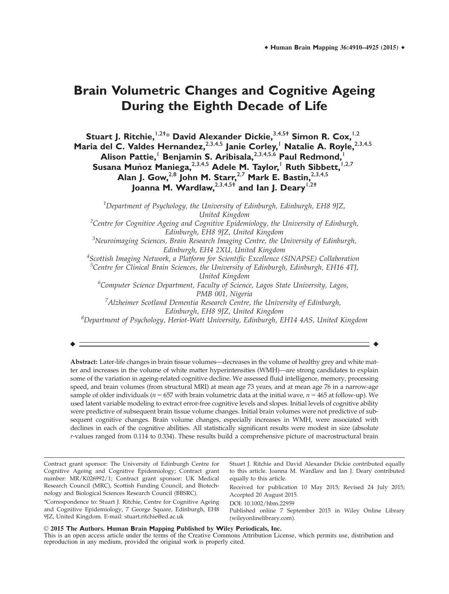### **Brain Volumetric Changes and Cognitive Ageing During the Eighth Decade of Life**

**Stuart J. Ritchie,**1,2† \* **David Alexander Dickie,**3,4,5† **Simon R. Cox,**1,2 **Maria del C. Valdes Hernandez, 2,3,4,5 Janie Corley, Ratalie A. Royle, 2,3,4,5 Alison Pattie,**<sup>1</sup> **Benjamin S. Aribisala,**2,3,4,5,6 **Paul Redmond,**<sup>1</sup> **Susana Muñoz Maniega, 2,3,4,5 Adele M. Taylor, Ruth Sibbett, 1,2,7 Alan J. Gow,**2,8 **John M. Starr,**2,7 **Mark E. Bastin,**2,3,4,5 **Joanna M. Wardlaw,**2,3,4,5† **and Ian J. Deary**1,2†

<sup>1</sup>Department of Psychology, the University of Edinburgh, Edinburgh, EH8 9JZ, United Kingdom <sup>2</sup>Centre for Cognitive Ageing and Cognitive Epidemiology, the University of Edinburgh, Edinburgh, EH8 9JZ, United Kingdom <sup>3</sup>Neuroimaging Sciences, Brain Research Imaging Centre, the University of Edinburgh, Edinburgh, EH4 2XU, United Kingdom 4 Scottish Imaging Network, a Platform for Scientific Excellence (SINAPSE) Collaboration <sup>5</sup>Centre for Clinical Brain Sciences, the University of Edinburgh, Edinburgh, EH16 4TJ, United Kingdom <sup>6</sup>Computer Science Department, Faculty of Science, Lagos State University, Lagos, PMB 001, Nigeria <sup>7</sup> Alzheimer Scotland Dementia Research Centre, the University of Edinburgh, Edinburgh, EH8 9JZ, United Kingdom

 ${}^{8}$ Department of Psychology, Heriot-Watt University, Edinburgh, EH14 4AS, United Kingdom

r r

Abstract: Later-life changes in brain tissue volumes—decreases in the volume of healthy grey and white matter and increases in the volume of white matter hyperintensities (WMH)—are strong candidates to explain some of the variation in ageing-related cognitive decline. We assessed fluid intelligence, memory, processing speed, and brain volumes (from structural MRI) at mean age 73 years, and at mean age 76 in a narrow-age sample of older individuals ( $n = 657$  with brain volumetric data at the initial wave,  $n = 465$  at follow-up). We used latent variable modeling to extract error-free cognitive levels and slopes. Initial levels of cognitive ability were predictive of subsequent brain tissue volume changes. Initial brain volumes were not predictive of subsequent cognitive changes. Brain volume changes, especially increases in WMH, were associated with declines in each of the cognitive abilities. All statistically significant results were modest in size (absolute r-values ranged from 0.114 to 0.334). These results build a comprehensive picture of macrostructural brain

\*Correspondence to: Stuart J. Ritchie, Centre for Cognitive Ageing and Cognitive Epidemiology, 7 George Square, Edinburgh, EH8 9JZ, United Kingdom. E-mail: stuart.ritchie@ed.ac.uk

Stuart J. Ritchie and David Alexander Dickie contributed equally to this article. Joanna M. Wardlaw and Ian J. Deary contributed equally to this article.

Received for publication 10 May 2015; Revised 24 July 2015; Accepted 20 August 2015.

DOI: 10.1002/hbm.22959

Published online 7 September 2015 in Wiley Online Library (wileyonlinelibrary.com).

#### V<sup>C</sup> 2015 **T**he **A**uthors. **H**uman **B**rain **M**apping **P**ublished by **W**iley **P**eriodicals, **I**nc.

This is an open access article under the terms of the Creative Commons Attribution License, which permits use, distribution and reproduction in any medium, provided the original work is properly cited.

Contract grant sponsor: The University of Edinburgh Centre for Cognitive Ageing and Cognitive Epidemiology; Contract grant number: MR/K026992/1; Contract grant sponsor: UK Medical Research Council (MRC), Scottish Funding Council, and Biotechnology and Biological Sciences Research Council (BBSRC).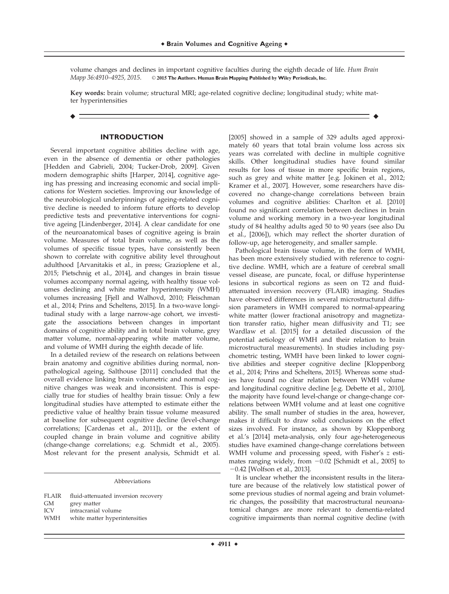volume changes and declines in important cognitive faculties during the eighth decade of life. *Hum Brain* Mapp 36:4910–4925, 2015. © 2015 The Authors. Human Brain Mapping Published by Wiley Periodicals, Inc. Mapp 36:4910–4925, 2015. <sup>V</sup><sup>C</sup> 2015 **T**he **A**uthors. **H**uman **B**rain **M**apping **P**ublished by **W**iley **P**eriodicals, **I**nc.

Key words: brain volume; structural MRI; age-related cognitive decline; longitudinal study; white matter hyperintensities

r r

#### **INTRODUCTION**

Several important cognitive abilities decline with age, even in the absence of dementia or other pathologies [Hedden and Gabrieli, 2004; Tucker-Drob, 2009]. Given modern demographic shifts [Harper, 2014], cognitive ageing has pressing and increasing economic and social implications for Western societies. Improving our knowledge of the neurobiological underpinnings of ageing-related cognitive decline is needed to inform future efforts to develop predictive tests and preventative interventions for cognitive ageing [Lindenberger, 2014]. A clear candidate for one of the neuroanatomical bases of cognitive ageing is brain volume. Measures of total brain volume, as well as the volumes of specific tissue types, have consistently been shown to correlate with cognitive ability level throughout adulthood [Arvanitakis et al., in press; Grazioplene et al., 2015; Pietschnig et al., 2014], and changes in brain tissue volumes accompany normal ageing, with healthy tissue volumes declining and white matter hyperintensity (WMH) volumes increasing [Fjell and Walhovd, 2010; Fleischman et al., 2014; Prins and Scheltens, 2015]. In a two-wave longitudinal study with a large narrow-age cohort, we investigate the associations between changes in important domains of cognitive ability and in total brain volume, grey matter volume, normal-appearing white matter volume, and volume of WMH during the eighth decade of life.

In a detailed review of the research on relations between brain anatomy and cognitive abilities during normal, nonpathological ageing, Salthouse [2011] concluded that the overall evidence linking brain volumetric and normal cognitive changes was weak and inconsistent. This is especially true for studies of healthy brain tissue: Only a few longitudinal studies have attempted to estimate either the predictive value of healthy brain tissue volume measured at baseline for subsequent cognitive decline (level-change correlations; [Cardenas et al., 2011]), or the extent of coupled change in brain volume and cognitive ability (change-change correlations; e.g. Schmidt et al., 2005). Most relevant for the present analysis, Schmidt et al.

Abbreviations

|            | FLAIR fluid-attenuated inversion recovery |
|------------|-------------------------------------------|
| GМ         | grey matter                               |
| <b>ICV</b> | intracranial volume                       |
| WMH        | white matter hyperintensities             |
|            |                                           |

[2005] showed in a sample of 329 adults aged approximately 60 years that total brain volume loss across six years was correlated with decline in multiple cognitive skills. Other longitudinal studies have found similar results for loss of tissue in more specific brain regions, such as grey and white matter [e.g. Jokinen et al., 2012; Kramer et al., 2007]. However, some researchers have discovered no change-change correlations between brain volumes and cognitive abilities: Charlton et al. [2010] found no significant correlation between declines in brain volume and working memory in a two-year longitudinal study of 84 healthy adults aged 50 to 90 years (see also Du et al., [2006]), which may reflect the shorter duration of follow-up, age heterogeneity, and smaller sample.

Pathological brain tissue volume, in the form of WMH, has been more extensively studied with reference to cognitive decline. WMH, which are a feature of cerebral small vessel disease, are puncate, focal, or diffuse hyperintense lesions in subcortical regions as seen on T2 and fluidattenuated inversion recovery (FLAIR) imaging. Studies have observed differences in several microstructural diffusion parameters in WMH compared to normal-appearing white matter (lower fractional anisotropy and magnetization transfer ratio, higher mean diffusivity and T1; see Wardlaw et al. [2015] for a detailed discussion of the potential aetiology of WMH and their relation to brain microstructural measurements). In studies including psychometric testing, WMH have been linked to lower cognitive abilities and steeper cognitive decline [Kloppenborg et al., 2014; Prins and Scheltens, 2015]. Whereas some studies have found no clear relation between WMH volume and longitudinal cognitive decline [e.g. Debette et al., 2010], the majority have found level-change or change-change correlations between WMH volume and at least one cognitive ability. The small number of studies in the area, however, makes it difficult to draw solid conclusions on the effect sizes involved. For instance, as shown by Kloppenborg et al.'s [2014] meta-analysis, only four age-heterogeneous studies have examined change-change correlations between WMH volume and processing speed, with Fisher's z estimates ranging widely, from  $-0.02$  [Schmidt et al., 2005] to 20.42 [Wolfson et al., 2013].

It is unclear whether the inconsistent results in the literature are because of the relatively low statistical power of some previous studies of normal ageing and brain volumetric changes, the possibility that macrostructural neuroanatomical changes are more relevant to dementia-related cognitive impairments than normal cognitive decline (with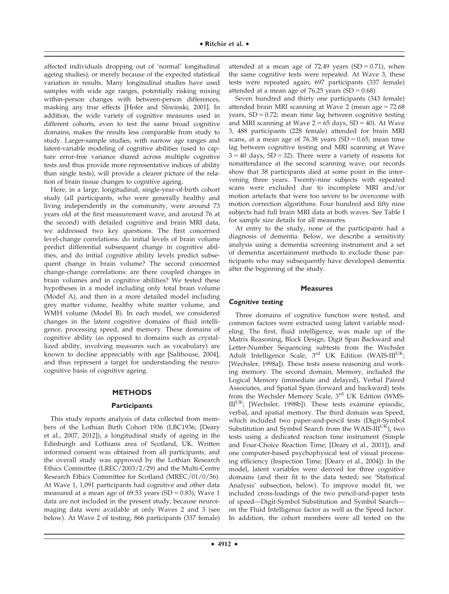affected individuals dropping out of 'normal' longitudinal ageing studies), or merely because of the expected statistical variation in results. Many longitudinal studies have used samples with wide age ranges, potentially risking mixing within-person changes with between-person differences, masking any true effects [Hofer and Sliwinski, 2001]. In addition, the wide variety of cognitive measures used in different cohorts, even to test the same broad cognitive domains, makes the results less comparable from study to study. Larger-sample studies, with narrow age ranges and latent-variable modeling of cognitive abilities (used to capture error-free variance shared across multiple cognitive tests and thus provide more representative indices of ability than single tests), will provide a clearer picture of the relation of brain tissue changes to cognitive ageing.

Here, in a large, longitudinal, single-year-of-birth cohort study (all participants, who were generally healthy and living independently in the community, were around 73 years old at the first measurement wave, and around 76 at the second) with detailed cognitive and brain MRI data, we addressed two key questions. The first concerned level-change correlations: do initial levels of brain volume predict differential subsequent change in cognitive abilities, and do initial cognitive ability levels predict subsequent change in brain volume? The second concerned change-change correlations: are there coupled changes in brain volumes and in cognitive abilities? We tested these hypotheses in a model including only total brain volume (Model A), and then in a more detailed model including grey matter volume, healthy white matter volume, and WMH volume (Model B). In each model, we considered changes in the latent cognitive domains of fluid intelligence, processing speed, and memory. These domains of cognitive ability (as opposed to domains such as crystallized ability, involving measures such as vocabulary) are known to decline appreciably with age [Salthouse, 2004], and thus represent a target for understanding the neurocognitive basis of cognitive ageing.

#### **METHODS**

#### **Participants**

This study reports analysis of data collected from members of the Lothian Birth Cohort 1936 (LBC1936; [Deary et al., 2007, 2012]), a longitudinal study of ageing in the Edinburgh and Lothians area of Scotland, UK. Written informed consent was obtained from all participants, and the overall study was approved by the Lothian Research Ethics Committee (LREC/2003/2/29) and the Multi-Centre Research Ethics Committee for Scotland (MREC/01/0/56). At Wave 1, 1,091 participants had cognitive and other data measured at a mean age of 69.53 years (SD =  $0.83$ ); Wave 1 data are not included in the present study, because neuroimaging data were available at only Waves 2 and 3 (see below). At Wave 2 of testing, 866 participants (337 female)

attended at a mean age of 72.49 years  $(SD = 0.71)$ , when the same cognitive tests were repeated. At Wave 3, these tests were repeated again; 697 participants (337 female) attended at a mean age of 76.25 years (SD =  $0.68$ ).

Seven hundred and thirty one participants (343 female) attended brain MRI scanning at Wave 2 (mean age  $= 72.68$ years,  $SD = 0.72$ ; mean time lag between cognitive testing and MRI scanning at Wave  $2 = 65$  days,  $SD = 40$ ). At Wave 3, 488 participants (228 female) attended for brain MRI scans, at a mean age of 76.38 years (SD =  $0.65$ ; mean time lag between cognitive testing and MRI scanning at Wave  $3 = 40$  days,  $SD = 32$ ). There were a variety of reasons for nonattendance at the second scanning wave; our records show that 38 participants died at some point in the intervening three years. Twenty-nine subjects with repeated scans were excluded due to incomplete MRI and/or motion artefacts that were too severe to be overcome with motion correction algorithms. Four hundred and fifty nine subjects had full brain MRI data at both waves. See Table I for sample size details for all measures.

At entry to the study, none of the participants had a diagnosis of dementia. Below, we describe a sensitivity analysis using a dementia screening instrument and a set of dementia ascertainment methods to exclude those participants who may subsequently have developed dementia after the beginning of the study.

#### **Measures**

#### Cognitive testing

Three domains of cognitive function were tested, and common factors were extracted using latent variable modeling. The first, fluid intelligence, was made up of the Matrix Reasoning, Block Design, Digit Span Backward and Letter-Number Sequencing subtests from the Wechsler Adult Intelligence Scale,  $3^{rd}$  UK Edition (WAIS-III<sup>UK</sup>; [Wechsler, 1998a]). These tests assess reasoning and working memory. The second domain, Memory, included the Logical Memory (immediate and delayed), Verbal Paired Associates, and Spatial Span (forward and backward) tests from the Wechsler Memory Scale, 3<sup>rd</sup> UK Edition (WMS- $III<sup>UK</sup>$ ; [Wechsler, 1998b]). These tests examine episodic, verbal, and spatial memory. The third domain was Speed, which included two paper-and-pencil tests (Digit-Symbol Substitution and Symbol Search from the WAIS- $III^{UK}$ ), two tests using a dedicated reaction time instrument (Simple and Four-Choice Reaction Time; [Deary et al., 2001]), and one computer-based psychophysical test of visual processing efficiency (Inspection Time; [Deary et al., 2004]). In the model, latent variables were derived for three cognitive domains (and their fit to the data tested; see 'Statistical Analysis' subsection, below). To improve model fit, we included cross-loadings of the two pencil-and-paper tests of speed—Digit-Symbol Substitution and Symbol Search on the Fluid Intelligence factor as well as the Speed factor. In addition, the cohort members were all tested on the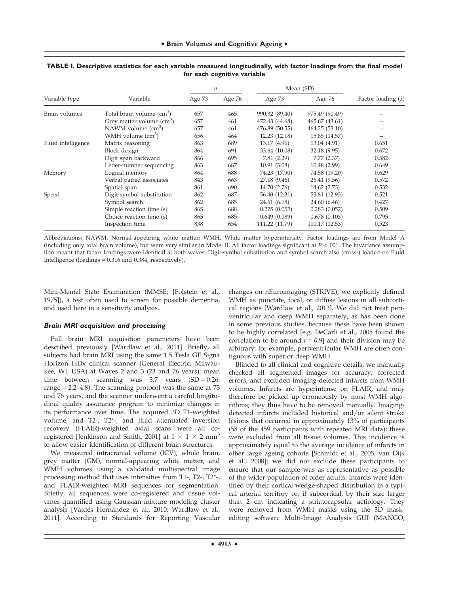|                    |                                       | п      |        | Mean (SD)      |                |                            |  |
|--------------------|---------------------------------------|--------|--------|----------------|----------------|----------------------------|--|
| Variable type      | Variable                              | Age 73 | Age 76 | Age 73         | Age 76         | Factor loading $(\lambda)$ |  |
| Brain volumes      | Total brain volume (cm <sup>3</sup> ) | 657    | 465    | 990.32 (89.40) | 975.49 (90.49) |                            |  |
|                    | Grey matter volume $(cm3)$            | 657    | 461    | 472.43 (44.68) | 465.67 (43.61) |                            |  |
|                    | NAWM volume $\text{cm}^3$ )           | 657    | 461    | 476.89 (50.55) | 464.25 (53.10) |                            |  |
|                    | WMH volume $\text{cm}^3$ )            | 656    | 464    | 12.23 (12.18)  | 15.85 (14.57)  |                            |  |
| Fluid intelligence | Matrix reasoning                      | 863    | 689    | 13.17 (4.96)   | 13.04 (4.91)   | 0.651                      |  |
|                    | Block design                          | 864    | 691    | 33.64 (10.08)  | 32.18 (9.95)   | 0.672                      |  |
|                    | Digit span backward                   | 866    | 695    | 7.81(2.29)     | 7.77(2.37)     | 0.582                      |  |
|                    | Letter-number sequencing              | 863    | 687    | 10.91(3.08)    | 10.48 (2.99)   | 0.649                      |  |
| Memory             | Logical memory                        | 864    | 688    | 74.23 (17.90)  | 74.58 (19.20)  | 0.629                      |  |
|                    | Verbal paired associates              | 843    | 663    | 27.18 (9.46)   | 26.41 (9.56)   | 0.572                      |  |
|                    | Spatial span                          | 861    | 690    | 14.70 (2.76)   | 14.62 (2.73)   | 0.532                      |  |
| Speed              | Digit-symbol substitution             | 862    | 687    | 56.40 (12.31)  | 53.81 (12.93)  | 0.521                      |  |
|                    | Symbol search                         | 862    | 685    | 24.61 (6.18)   | 24.60 (6.46)   | 0.427                      |  |
|                    | Simple reaction time (s)              | 865    | 688    | 0.275(0.052)   | 0.283(0.052)   | 0.509                      |  |
|                    | Choice reaction time (s)              | 865    | 685    | 0.649(0.089)   | 0.678(0.103)   | 0.795                      |  |
|                    | Inspection time                       | 838    | 654    | 111.22 (11.79) | 110.17 (12.53) | 0.523                      |  |

#### **TABLE I. Descriptive statistics for each variable measured longitudinally, with factor loadings from the final model for each cognitive variable**

Abbreviations: NAWM, Normal-appearing white matter; WMH, White matter hyperintensity. Factor loadings are from Model A (including only total brain volume), but were very similar in Model B. All factor loadings significant at  $P < 0.01$ . The invariance assumption meant that factor loadings were identical at both waves. Digit-symbol substitution and symbol search also (cross-) loaded on Fluid Intelligence (loadings  $= 0.316$  and 0.384, respectively).

Mini-Mental State Examination (MMSE; [Folstein et al., 1975]), a test often used to screen for possible dementia, and used here in a sensitivity analysis.

#### Brain MRI acquisition and processing

Full brain MRI acquisition parameters have been described previously [Wardlaw et al., 2011]. Briefly, all subjects had brain MRI using the same 1.5 Tesla GE Signa Horizon HDx clinical scanner (General Electric, Milwaukee, WI, USA) at Waves 2 and 3 (73 and 76 years); mean time between scanning was  $3.7$  years  $(SD = 0.26,$ range  $= 2.2-4.8$ ). The scanning protocol was the same at 73 and 76 years, and the scanner underwent a careful longitudinal quality assurance program to minimize changes in its performance over time. The acquired 3D T1-weighted volume, and T2-, T2\*-, and fluid attenuated inversion recovery (FLAIR)-weighted axial scans were all coregistered [Jenkinson and Smith, 2001] at  $1 \times 1 \times 2$  mm<sup>3</sup> to allow easier identification of different brain structures.

We measured intracranial volume (ICV), whole brain, grey matter (GM), normal-appearing white matter, and WMH volumes using a validated multispectral image processing method that uses intensities from T1-, T2-, T2\*-, and FLAIR-weighted MRI sequences for segmentation. Briefly, all sequences were co-registered and tissue volumes quantified using Gaussian mixture modeling cluster analysis [Valdés Hernández et al., 2010; Wardlaw et al., 2011]. According to Standards for Reporting Vascular changes on nEuroimaging (STRIVE), we explicitly defined WMH as punctate, focal, or diffuse lesions in all subcortical regions [Wardlaw et al., 2013]. We did not treat periventricular and deep WMH separately, as has been done in some previous studies, because these have been shown to be highly correlated [e.g. DeCarli et al., 2005 found the correlation to be around  $r = 0.9$ ] and their division may be arbitrary: for example, periventricular WMH are often contiguous with superior deep WMH.

Blinded to all clinical and cognitive details, we manually checked all segmented images for accuracy, corrected errors, and excluded imaging-detected infarcts from WMH volumes. Infarcts are hyperintense on FLAIR, and may therefore be picked up erroneously by most WMH algorithms; they thus have to be removed manually. Imagingdetected infarcts included historical and/or silent stroke lesions that occurred in approximately 13% of participants (58 of the 459 participants with repeated MRI data); these were excluded from all tissue volumes. This incidence is approximately equal to the average incidence of infarcts in other large ageing cohorts [Schmidt et al., 2005; van Dijk et al., 2008]; we did not exclude these participants to ensure that our sample was as representative as possible of the wider population of older adults. Infarcts were identified by their cortical wedge-shaped distribution in a typical arterial territory or, if subcortical, by their size larger than 2 cm indicating a striatocapsular aetiology. They were removed from WMH masks using the 3D maskediting software Multi-Image Analysis GUI (MANGO;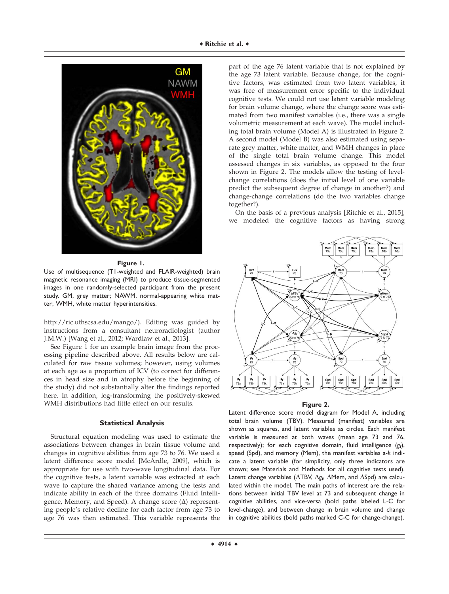

#### **Figure 1.**

Use of multisequence (T1-weighted and FLAIR-weighted) brain magnetic resonance imaging (MRI) to produce tissue-segmented images in one randomly-selected participant from the present study. GM, grey matter; NAWM, normal-appearing white matter; WMH, white matter hyperintensities.

<http://ric.uthscsa.edu/mango>/). Editing was guided by instructions from a consultant neuroradiologist (author J.M.W.) [Wang et al., 2012; Wardlaw et al., 2013].

See Figure 1 for an example brain image from the processing pipeline described above. All results below are calculated for raw tissue volumes; however, using volumes at each age as a proportion of ICV (to correct for differences in head size and in atrophy before the beginning of the study) did not substantially alter the findings reported here. In addition, log-transforming the positively-skewed WMH distributions had little effect on our results.

#### **Statistical Analysis**

Structural equation modeling was used to estimate the associations between changes in brain tissue volume and changes in cognitive abilities from age 73 to 76. We used a latent difference score model [McArdle, 2009], which is appropriate for use with two-wave longitudinal data. For the cognitive tests, a latent variable was extracted at each wave to capture the shared variance among the tests and indicate ability in each of the three domains (Fluid Intelligence, Memory, and Speed). A change score  $(\Delta)$  representing people's relative decline for each factor from age 73 to age 76 was then estimated. This variable represents the

part of the age 76 latent variable that is not explained by the age 73 latent variable. Because change, for the cognitive factors, was estimated from two latent variables, it was free of measurement error specific to the individual cognitive tests. We could not use latent variable modeling for brain volume change, where the change score was estimated from two manifest variables (i.e., there was a single volumetric measurement at each wave). The model including total brain volume (Model A) is illustrated in Figure 2. A second model (Model B) was also estimated using separate grey matter, white matter, and WMH changes in place of the single total brain volume change. This model assessed changes in six variables, as opposed to the four shown in Figure 2. The models allow the testing of levelchange correlations (does the initial level of one variable predict the subsequent degree of change in another?) and change-change correlations (do the two variables change together?).

On the basis of a previous analysis [Ritchie et al., 2015], we modeled the cognitive factors as having strong



#### **Figure 2.**

Latent difference score model diagram for Model A, including total brain volume (TBV). Measured (manifest) variables are shown as squares, and latent variables as circles. Each manifest variable is measured at both waves (mean age 73 and 76, respectively); for each cognitive domain, fluid intelligence (*g*<sup>f</sup> ), speed (Spd), and memory (Mem), the manifest variables a-*k* indicate a latent variable (for simplicity, only three indicators are shown; see Materials and Methods for all cognitive tests used). Latent change variables ( $\Delta$ TBV,  $\Delta g_f$ ,  $\Delta$ Mem, and  $\Delta$ Spd) are calculated within the model. The main paths of interest are the relations between initial TBV level at 73 and subsequent change in cognitive abilities, and vice-versa (bold paths labeled L-C for level-change), and between change in brain volume and change in cognitive abilities (bold paths marked C-C for change-change).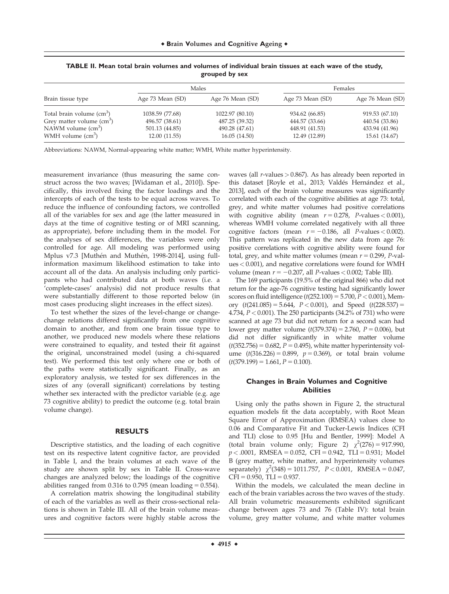| Brain tissue type                  |                  | Males            | Females          |                  |  |
|------------------------------------|------------------|------------------|------------------|------------------|--|
|                                    | Age 73 Mean (SD) | Age 76 Mean (SD) | Age 73 Mean (SD) | Age 76 Mean (SD) |  |
| Total brain volume $(cm3)$         | 1038.59 (77.68)  | 1022.97 (80.10)  | 934.62 (66.85)   | 919.53 (67.10)   |  |
| Grey matter volume $\text{(cm}^3)$ | 496.57 (38.61)   | 487.25 (39.32)   | 444.57 (33.66)   | 440.54 (33.86)   |  |
| NAWM volume $\rm (cm^3)$           | 501.13 (44.85)   | 490.28 (47.61)   | 448.91 (41.53)   | 433.94 (41.96)   |  |
| WMH volume $(cm3)$                 | 12.00 (11.55)    | 16.05(14.50)     | 12.49 (12.89)    | 15.61 (14.67)    |  |

**TABLE II. Mean total brain volumes and volumes of individual brain tissues at each wave of the study, grouped by sex**

Abbreviations: NAWM, Normal-appearing white matter; WMH, White matter hyperintensity.

measurement invariance (thus measuring the same construct across the two waves; [Widaman et al., 2010]). Specifically, this involved fixing the factor loadings and the intercepts of each of the tests to be equal across waves. To reduce the influence of confounding factors, we controlled all of the variables for sex and age (the latter measured in days at the time of cognitive testing or of MRI scanning, as appropriate), before including them in the model. For the analyses of sex differences, the variables were only controlled for age. All modeling was performed using Mplus v7.3 [Muthén and Muthén, 1998-2014], using fullinformation maximum likelihood estimation to take into account all of the data. An analysis including only participants who had contributed data at both waves (i.e. a 'complete-cases' analysis) did not produce results that were substantially different to those reported below (in most cases producing slight increases in the effect sizes).

To test whether the sizes of the level-change or changechange relations differed significantly from one cognitive domain to another, and from one brain tissue type to another, we produced new models where these relations were constrained to equality, and tested their fit against the original, unconstrained model (using a chi-squared test). We performed this test only where one or both of the paths were statistically significant. Finally, as an exploratory analysis, we tested for sex differences in the sizes of any (overall significant) correlations by testing whether sex interacted with the predictor variable (e.g. age 73 cognitive ability) to predict the outcome (e.g. total brain volume change).

#### **RESULTS**

Descriptive statistics, and the loading of each cognitive test on its respective latent cognitive factor, are provided in Table I, and the brain volumes at each wave of the study are shown split by sex in Table II. Cross-wave changes are analyzed below; the loadings of the cognitive abilities ranged from  $0.316$  to  $0.795$  (mean loading =  $0.554$ ).

A correlation matrix showing the longitudinal stability of each of the variables as well as their cross-sectional relations is shown in Table III. All of the brain volume measures and cognitive factors were highly stable across the waves (all  $r$ -values  $> 0.867$ ). As has already been reported in this dataset [Royle et al., 2013; Valdés Hernández et al., 2013], each of the brain volume measures was significantly correlated with each of the cognitive abilities at age 73: total, grey, and white matter volumes had positive correlations with cognitive ability (mean  $r = 0.278$ , P-values < 0.001), whereas WMH volume correlated negatively with all three cognitive factors (mean  $r = -0.186$ , all P-values < 0.002). This pattern was replicated in the new data from age 76: positive correlations with cognitive ability were found for total, grey, and white matter volumes (mean  $r = 0.299$ , P-values< 0.001), and negative correlations were found for WMH volume (mean  $r = -0.207$ , all P-values < 0.002; Table III).

The 169 participants (19.5% of the original 866) who did not return for the age-76 cognitive testing had significantly lower scores on fluid intelligence  $(t(252.100) = 5.700, P < 0.001)$ , Memory  $(t(241.085) = 5.644, P < 0.001)$ , and Speed  $(t(228.537) =$ 4.734, P< 0.001). The 250 participants (34.2% of 731) who were scanned at age 73 but did not return for a second scan had lower grey matter volume  $(t(379.374) = 2.760, P = 0.006)$ , but did not differ significantly in white matter volume  $(t(352.756) = 0.682, P = 0.495)$ , white matter hyperintensity volume  $(t(316.226) = 0.899, p = 0.369)$ , or total brain volume  $(t(379.199) = 1.661, P = 0.100).$ 

#### **Changes in Brain Volumes and Cognitive Abilities**

Using only the paths shown in Figure 2, the structural equation models fit the data acceptably, with Root Mean Square Error of Approximation (RMSEA) values close to 0.06 and Comparative Fit and Tucker-Lewis Indices (CFI and TLI) close to 0.95 [Hu and Bentler, 1999]: Model A (total brain volume only; Figure 2)  $\chi^2(276) = 917.990$ ,  $p < .0001$ , RMSEA = 0.052, CFI = 0.942, TLI = 0.931; Model B (grey matter, white matter, and hyperintensity volumes separately)  $\chi^2(348) = 1011.757$ ,  $P < 0.001$ , RMSEA = 0.047,  $CFI = 0.950$ , TLI = 0.937.

Within the models, we calculated the mean decline in each of the brain variables across the two waves of the study. All brain volumetric measurements exhibited significant change between ages 73 and 76 (Table IV): total brain volume, grey matter volume, and white matter volumes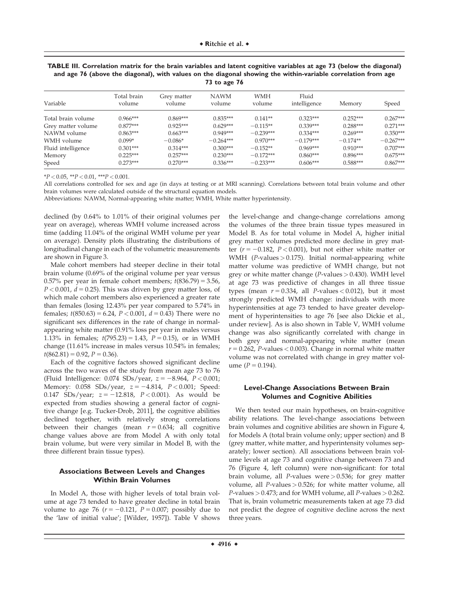| Variable           | Total brain<br>volume | Grey matter<br>volume | <b>NAWM</b><br>volume | <b>WMH</b><br>volume | Fluid<br>intelligence | Memory     | Speed       |
|--------------------|-----------------------|-----------------------|-----------------------|----------------------|-----------------------|------------|-------------|
| Total brain volume | $0.966***$            | $0.869***$            | $0.835***$            | $0.141**$            | $0.323***$            | $0.252***$ | $0.267***$  |
| Grey matter volume | $0.877***$            | $0.925***$            | $0.629***$            | $-0.115**$           | $0.339***$            | $0.288***$ | $0.271***$  |
| NAWM volume        | $0.863***$            | $0.663***$            | $0.949***$            | $-0.239***$          | $0.334***$            | $0.269***$ | $0.350***$  |
| WMH volume         | $0.099*$              | $-0.086*$             | $-0.264***$           | $0.970***$           | $-0.179***$           | $-0.174**$ | $-0.267***$ |
| Fluid intelligence | $0.301***$            | $0.314***$            | $0.300***$            | $-0.152**$           | $0.969***$            | $0.910***$ | $0.707***$  |
| Memory             | $0.225***$            | $0.257***$            | $0.230***$            | $-0.172***$          | $0.860***$            | $0.896***$ | $0.675***$  |
| Speed              | $0.273***$            | $0.270***$            | $0.336***$            | $-0.233***$          | $0.606***$            | $0.588***$ | $0.867***$  |

**TABLE III. Correlation matrix for the brain variables and latent cognitive variables at age 73 (below the diagonal) and age 76 (above the diagonal), with values on the diagonal showing the within-variable correlation from age 73 to age 76**

 $*P < 0.05$ ,  $*P < 0.01$ ,  $**P < 0.001$ .

All correlations controlled for sex and age (in days at testing or at MRI scanning). Correlations between total brain volume and other brain volumes were calculated outside of the structural equation models.

Abbreviations: NAWM, Normal-appearing white matter; WMH, White matter hyperintensity.

declined (by 0.64% to 1.01% of their original volumes per year on average), whereas WMH volume increased across time (adding 11.04% of the original WMH volume per year on average). Density plots illustrating the distributions of longitudinal change in each of the volumetric measurements are shown in Figure 3.

Male cohort members had steeper decline in their total brain volume (0.69% of the original volume per year versus 0.57% per year in female cohort members;  $t(836.79) = 3.56$ ,  $P < 0.001$ ,  $d = 0.25$ ). This was driven by grey matter loss, of which male cohort members also experienced a greater rate than females (losing 12.43% per year compared to 5.74% in females;  $t(850.63) = 6.24$ ,  $P < 0.001$ ,  $d = 0.43$ ) There were no significant sex differences in the rate of change in normalappearing white matter (0.91% loss per year in males versus 1.13% in females;  $t(795.23) = 1.43$ ,  $P = 0.15$ ), or in WMH change (11.61% increase in males versus 10.54% in females;  $t(862.81) = 0.92, P = 0.36$ .

Each of the cognitive factors showed significant decline across the two waves of the study from mean age 73 to 76 (Fluid Intelligence:  $0.074$  SDs/year,  $z = -8.964$ ,  $P < 0.001$ ; Memory:  $0.058$  SDs/year,  $z = -4.814$ ,  $P < 0.001$ ; Speed: 0.147 SDs/year;  $z = -12.818$ ,  $P < 0.001$ ). As would be expected from studies showing a general factor of cognitive change [e.g. Tucker-Drob, 2011], the cognitive abilities declined together, with relatively strong correlations between their changes (mean  $r = 0.634$ ; all cognitive change values above are from Model A with only total brain volume, but were very similar in Model B, with the three different brain tissue types).

#### **Associations Between Levels and Changes Within Brain Volumes**

In Model A, those with higher levels of total brain volume at age 73 tended to have greater decline in total brain volume to age 76 ( $r = -0.121$ ,  $P = 0.007$ ; possibly due to the 'law of initial value'; [Wilder, 1957]). Table V shows the level-change and change-change correlations among the volumes of the three brain tissue types measured in Model B. As for total volume in Model A, higher initial grey matter volumes predicted more decline in grey matter ( $r = -0.182$ ,  $P < 0.001$ ), but not either white matter or WMH ( $P$ -values  $> 0.175$ ). Initial normal-appearing white matter volume was predictive of WMH change, but not grey or white matter change  $(P$ -values  $> 0.430$ ). WMH level at age 73 was predictive of changes in all three tissue types (mean  $r = 0.334$ , all P-values < 0.012), but it most strongly predicted WMH change: individuals with more hyperintensities at age 73 tended to have greater development of hyperintensities to age 76 [see also Dickie et al., under review]. As is also shown in Table V, WMH volume change was also significantly correlated with change in both grey and normal-appearing white matter (mean  $r = 0.262$ , P-values < 0.003). Change in normal white matter volume was not correlated with change in grey matter vol $ume (P = 0.194).$ 

#### **Level-Change Associations Between Brain Volumes and Cognitive Abilities**

We then tested our main hypotheses, on brain-cognitive ability relations. The level-change associations between brain volumes and cognitive abilities are shown in Figure 4, for Models A (total brain volume only; upper section) and B (grey matter, white matter, and hyperintensity volumes separately; lower section). All associations between brain volume levels at age 73 and cognitive change between 73 and 76 (Figure 4, left column) were non-significant: for total brain volume, all *P*-values were  $> 0.536$ ; for grey matter volume, all  $P$ -values  $> 0.526$ ; for white matter volume, all  $P$ -values  $> 0.473$ ; and for WMH volume, all  $P$ -values  $> 0.262$ . That is, brain volumetric measurements taken at age 73 did not predict the degree of cognitive decline across the next three years.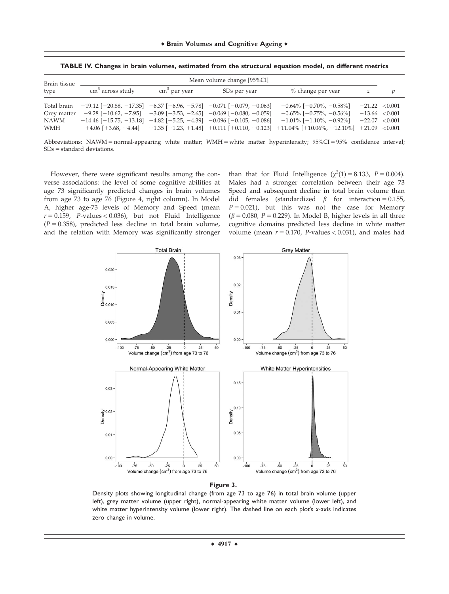| Brain tissue                                     | Mean volume change [95%CI]                                                                      |                        |                                                                                                                                                |                                                                                                                                                                                                                                                      |                                                          |   |
|--------------------------------------------------|-------------------------------------------------------------------------------------------------|------------------------|------------------------------------------------------------------------------------------------------------------------------------------------|------------------------------------------------------------------------------------------------------------------------------------------------------------------------------------------------------------------------------------------------------|----------------------------------------------------------|---|
| type                                             | cm <sup>3</sup> across study                                                                    | $\text{cm}^3$ per year | SD <sub>s</sub> per year                                                                                                                       | % change per year                                                                                                                                                                                                                                    | z                                                        | p |
| Total brain<br>Grey matter<br><b>NAWM</b><br>WMH | $-19.12$ [ $-20.88$ , $-17.35$ ] $-6.37$ [ $-6.96$ , $-5.78$ ] $-0.071$ [ $-0.079$ , $-0.063$ ] |                        | $-9.28$ [-10.62, -7.95] -3.09 [-3.53, -2.65] -0.069 [-0.080, -0.059]<br>$-14.46$ [-15.75, -13.18] -4.82 [-5.25, -4.39] -0.096 [-0.105, -0.086] | $-0.64\%$ [ $-0.70\%$ , $-0.58\%$ ]<br>$-0.65\%$ [ $-0.75\%$ , $-0.56\%$ ]<br>$-1.01\%$ [ $-1.10\%$ , $-0.92\%$ ]<br>$+4.06$ $[+3.68, +4.44]$ $+1.35$ $[+1.23, +1.48]$ $+0.111$ $[+0.110, +0.123]$ $+11.04\%$ $[+10.06\%, +12.10\%]$ $+21.09$ <0.001 | $-21.22$ < 0.001<br>$-13.66$ < 0.001<br>$-22.07$ < 0.001 |   |

**TABLE IV. Changes in brain volumes, estimated from the structural equation model, on different metrics**

Abbreviations: NAWM = normal-appearing white matter; WMH = white matter hyperintensity;  $95\%CI = 95\%$  confidence interval;  $SDs = standard deviations$ .

However, there were significant results among the converse associations: the level of some cognitive abilities at age 73 significantly predicted changes in brain volumes from age 73 to age 76 (Figure 4, right column). In Model A, higher age-73 levels of Memory and Speed (mean  $r = 0.159$ , P-values < 0.036), but not Fluid Intelligence  $(P = 0.358)$ , predicted less decline in total brain volume, and the relation with Memory was significantly stronger

than that for Fluid Intelligence  $(\chi^2(1) = 8.133, P = 0.004)$ . Males had a stronger correlation between their age 73 Speed and subsequent decline in total brain volume than did females (standardized  $\beta$  for interaction = 0.155,  $P = 0.021$ ), but this was not the case for Memory  $(\beta = 0.080, P = 0.229)$ . In Model B, higher levels in all three cognitive domains predicted less decline in white matter volume (mean  $r = 0.170$ , P-values < 0.031), and males had





Density plots showing longitudinal change (from age 73 to age 76) in total brain volume (upper left), grey matter volume (upper right), normal-appearing white matter volume (lower left), and white matter hyperintensity volume (lower right). The dashed line on each plot's *x*-axis indicates zero change in volume.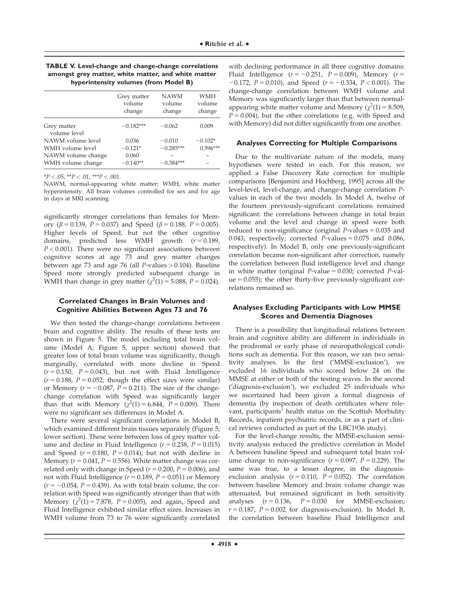| <b>TABLE V. Level-change and change-change correlations</b> |
|-------------------------------------------------------------|
| amongst grey matter, white matter, and white matter         |
| hyperintensity volumes (from Model B)                       |

| Grey matter<br>volume<br>change | <b>NAWM</b><br>volume<br>change | <b>WMH</b><br>volume<br>change |
|---------------------------------|---------------------------------|--------------------------------|
| $-0.182***$                     | $-0.062$                        | 0.009                          |
| 0.036                           | $-0.010$                        | $-0.102*$                      |
| $-0.121*$                       | $-0.285***$                     | $0.596***$                     |
| 0.060                           |                                 |                                |
| $-0.140**$                      | $-0.384***$                     |                                |
|                                 |                                 |                                |

 $*P < .05$ ,  $*P < .01$ ,  $*+P < .001$ .

NAWM, normal-appearing white matter; WMH, white matter hyperintensity. All brain volumes controlled for sex and for age in days at MRI scanning.

significantly stronger correlations than females for Memory ( $\beta = 0.139$ ,  $P = 0.037$ ) and Speed ( $\beta = 0.188$ ,  $P = 0.005$ ). Higher levels of Speed, but not the other cognitive domains, predicted less WMH growth  $(r = 0.189)$ ,  $P < 0.001$ ). There were no significant associations between cognitive scores at age 73 and grey matter changes between age 73 and age 76 (all P-values  $> 0.104$ ). Baseline Speed more strongly predicted subsequent change in WMH than change in grey matter  $(\chi^2(1) = 5.088, P = 0.024)$ .

#### **Correlated Changes in Brain Volumes and Cognitive Abilities Between Ages 73 and 76**

We then tested the change-change correlations between brain and cognitive ability. The results of these tests are shown in Figure 5. The model including total brain volume (Model A; Figure 5, upper section) showed that greater loss of total brain volume was significantly, though marginally, correlated with more decline in Speed  $(r = 0.150, P = 0.043)$ , but not with Fluid Intelligence  $(r = 0.188, P = 0.052$ ; though the effect sizes were similar) or Memory ( $r = -0.087$ ,  $P = 0.211$ ). The size of the changechange correlation with Speed was significantly larger than that with Memory  $(\chi^2(1) = 6.844, P = 0.009)$ . There were no significant sex differences in Model A.

There were several significant correlations in Model B, which examined different brain tissues separately (Figure 5, lower section). These were between loss of grey matter volume and decline in Fluid Intelligence ( $r = 0.238$ ,  $P = 0.015$ ) and Speed ( $r = 0.180$ ,  $P = 0.014$ ), but not with decline in Memory ( $r = 0.041$ ,  $P = 0.556$ ). White matter change was correlated only with change in Speed ( $r = 0.200$ ,  $P = 0.006$ ), and not with Fluid Intelligence ( $r = 0.189$ ,  $P = 0.051$ ) or Memory  $(r = -0.054, P = 0.439)$ . As with total brain volume, the correlation with Speed was significantly stronger than that with Memory  $(\chi^2(1) = 7.878, P = 0.005)$ , and again, Speed and Fluid Intelligence exhibited similar effect sizes. Increases in WMH volume from 73 to 76 were significantly correlated

with declining performance in all three cognitive domains: Fluid Intelligence  $(r = -0.251, P = 0.009)$ , Memory  $(r =$  $-0.172$ ,  $P = 0.010$ ), and Speed ( $r = -0.334$ ,  $P < 0.001$ ). The change-change correlation between WMH volume and Memory was significantly larger than that between normalappearing white matter volume and Memory ( $\chi^2(1) = 8.509$ ,  $P = 0.004$ ), but the other correlations (e.g. with Speed and with Memory) did not differ significantly from one another.

#### **Analyses Correcting for Multiple Comparisons**

Due to the multivariate nature of the models, many hypotheses were tested in each. For this reason, we applied a False Discovery Rate correction for multiple comparisons [Benjamini and Hochberg, 1995] across all the level-level, level-change, and change-change correlation Pvalues in each of the two models. In Model A, twelve of the fourteen previously-significant correlations remained significant: the correlations between change in total brain volume and the level and change in speed were both reduced to non-significance (original  $P$ -values = 0.035 and 0.043, respectively; corrected  $P$ -values = 0.075 and 0.086, respectively). In Model B, only one previously-significant correlation became non-significant after correction, namely the correlation between fluid intelligence level and change in white matter (original  $P$ -value = 0.030; corrected  $P$ -val $ue = 0.055$ ); the other thirty-five previously-significant correlations remained so.

#### **Analyses Excluding Participants with Low MMSE Scores and Dementia Diagnoses**

There is a possibility that longitudinal relations between brain and cognitive ability are different in individuals in the prodromal or early phase of neuropathological conditions such as dementia. For this reason, we ran two sensitivity analyses. In the first ('MMSE-exclusion'), we excluded 16 individuals who scored below 24 on the MMSE at either or both of the testing waves. In the second ('diagnosis-exclusion'), we excluded 25 individuals who we ascertained had been given a formal diagnosis of dementia (by inspection of death certificates where relevant, participants' health status on the Scottish Morbidity Records, inpatient psychiatric records, or as a part of clinical reviews conducted as part of the LBC1936 study).

For the level-change results, the MMSE-exclusion sensitivity analysis reduced the predictive correlation in Model A between baseline Speed and subsequent total brain volume change to non-significance ( $r = 0.097$ ,  $P = 0.229$ ). The same was true, to a lesser degree, in the diagnosisexclusion analysis ( $r = 0.110$ ,  $P = 0.052$ ). The correlation between baseline Memory and brain volume change was attenuated, but remained significant in both sensitivity analyses  $(r = 0.136, P = 0.030$  for MMSE-exclusion;  $r = 0.187$ ,  $P = 0.002$  for diagnosis-exclusion). In Model B, the correlation between baseline Fluid Intelligence and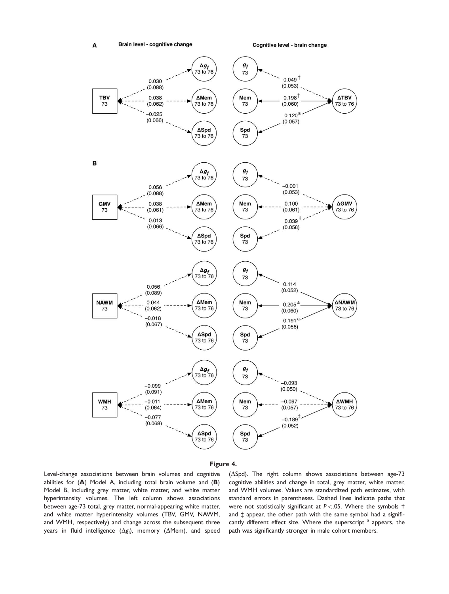Cognitive level - brain change





Level-change associations between brain volumes and cognitive abilities for (**A**) Model A, including total brain volume and (**B**) Model B, including grey matter, white matter, and white matter hyperintensity volumes. The left column shows associations between age-73 total, grey matter, normal-appearing white matter, and white matter hyperintensity volumes (TBV, GMV, NAWM, and WMH, respectively) and change across the subsequent three years in fluid intelligence  $(\Delta \mathsf{g}_\text{f})$ , memory  $(\Delta$ Mem), and speed

( $\Delta$ Spd). The right column shows associations between age-73 cognitive abilities and change in total, grey matter, white matter, and WMH volumes. Values are standardized path estimates, with standard errors in parentheses. Dashed lines indicate paths that were not statistically significant at *P* <.05. Where the symbols † and ‡ appear, the other path with the same symbol had a significantly different effect size. Where the superscript <sup>a</sup> appears, the path was significantly stronger in male cohort members.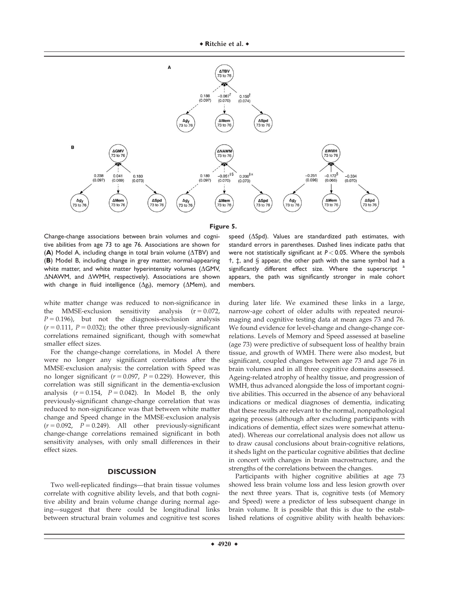



Change-change associations between brain volumes and cognitive abilities from age 73 to age 76. Associations are shown for  $(A)$  Model A, including change in total brain volume  $(\Delta TBV)$  and (**B**) Model B, including change in grey matter, normal-appearing white matter, and white matter hyperintensity volumes ( $\Delta$ GMV,  $\triangle N$ AWM, and  $\triangle W$ MH, respectively). Associations are shown with change in fluid intelligence  $(\Delta g_{\text{f}})$ , memory  $(\Delta \textsf{Mem})$ , and

white matter change was reduced to non-significance in the MMSE-exclusion sensitivity analysis  $(r = 0.072)$ ,  $P = 0.196$ ), but not the diagnosis-exclusion analysis  $(r = 0.111, P = 0.032)$ ; the other three previously-significant correlations remained significant, though with somewhat smaller effect sizes.

For the change-change correlations, in Model A there were no longer any significant correlations after the MMSE-exclusion analysis: the correlation with Speed was no longer significant ( $r = 0.097$ ,  $P = 0.229$ ). However, this correlation was still significant in the dementia-exclusion analysis  $(r = 0.154, P = 0.042)$ . In Model B, the only previously-significant change-change correlation that was reduced to non-significance was that between white matter change and Speed change in the MMSE-exclusion analysis  $(r = 0.092, P = 0.249)$ . All other previously-significant change-change correlations remained significant in both sensitivity analyses, with only small differences in their effect sizes.

#### **DISCUSSION**

Two well-replicated findings—that brain tissue volumes correlate with cognitive ability levels, and that both cognitive ability and brain volume change during normal ageing—suggest that there could be longitudinal links between structural brain volumes and cognitive test scores

speed ( $\Delta$ Spd). Values are standardized path estimates, with standard errors in parentheses. Dashed lines indicate paths that were not statistically significant at  $P < 0.05$ . Where the symbols †, ‡, and § appear, the other path with the same symbol had a significantly different effect size. Where the superscript appears, the path was significantly stronger in male cohort members.

during later life. We examined these links in a large, narrow-age cohort of older adults with repeated neuroimaging and cognitive testing data at mean ages 73 and 76. We found evidence for level-change and change-change correlations. Levels of Memory and Speed assessed at baseline (age 73) were predictive of subsequent loss of healthy brain tissue, and growth of WMH. There were also modest, but significant, coupled changes between age 73 and age 76 in brain volumes and in all three cognitive domains assessed. Ageing-related atrophy of healthy tissue, and progression of WMH, thus advanced alongside the loss of important cognitive abilities. This occurred in the absence of any behavioral indications or medical diagnoses of dementia, indicating that these results are relevant to the normal, nonpathological ageing process (although after excluding participants with indications of dementia, effect sizes were somewhat attenuated). Whereas our correlational analysis does not allow us to draw causal conclusions about brain-cognitive relations, it sheds light on the particular cognitive abilities that decline in concert with changes in brain macrostructure, and the strengths of the correlations between the changes.

Participants with higher cognitive abilities at age 73 showed less brain volume loss and less lesion growth over the next three years. That is, cognitive tests (of Memory and Speed) were a predictor of less subsequent change in brain volume. It is possible that this is due to the established relations of cognitive ability with health behaviors: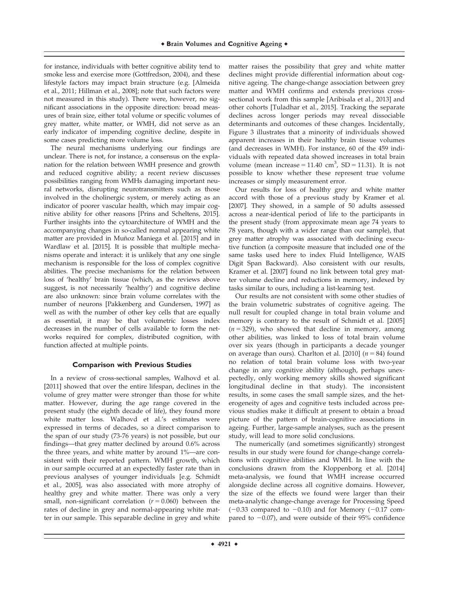for instance, individuals with better cognitive ability tend to smoke less and exercise more (Gottfredson, 2004), and these lifestyle factors may impact brain structure (e.g. [Almeida et al., 2011; Hillman et al., 2008]; note that such factors were not measured in this study). There were, however, no significant associations in the opposite direction: broad measures of brain size, either total volume or specific volumes of grey matter, white matter, or WMH, did not serve as an early indicator of impending cognitive decline, despite in some cases predicting more volume loss.

The neural mechanisms underlying our findings are unclear. There is not, for instance, a consensus on the explanation for the relation between WMH presence and growth and reduced cognitive ability; a recent review discusses possibilities ranging from WMHs damaging important neural networks, disrupting neurotransmitters such as those involved in the cholinergic system, or merely acting as an indicator of poorer vascular health, which may impair cognitive ability for other reasons [Prins and Scheltens, 2015]. Further insights into the cytoarchitecture of WMH and the accompanying changes in so-called normal appearing white matter are provided in Muñoz Maniega et al. [2015] and in Wardlaw et al. [2015]. It is possible that multiple mechanisms operate and interact: it is unlikely that any one single mechanism is responsible for the loss of complex cognitive abilities. The precise mechanisms for the relation between loss of 'healthy' brain tissue (which, as the reviews above suggest, is not necessarily 'healthy') and cognitive decline are also unknown: since brain volume correlates with the number of neurons [Pakkenberg and Gundersen, 1997] as well as with the number of other key cells that are equally as essential, it may be that volumetric losses index decreases in the number of cells available to form the networks required for complex, distributed cognition, with function affected at multiple points.

#### **Comparison with Previous Studies**

In a review of cross-sectional samples, Walhovd et al. [2011] showed that over the entire lifespan, declines in the volume of grey matter were stronger than those for white matter. However, during the age range covered in the present study (the eighth decade of life), they found more white matter loss. Walhovd et al.'s estimates were expressed in terms of decades, so a direct comparison to the span of our study (73-76 years) is not possible, but our findings—that grey matter declined by around 0.6% across the three years, and white matter by around 1%—are consistent with their reported pattern. WMH growth, which in our sample occurred at an expectedly faster rate than in previous analyses of younger individuals [e.g. Schmidt et al., 2005], was also associated with more atrophy of healthy grey and white matter. There was only a very small, non-significant correlation  $(r = 0.060)$  between the rates of decline in grey and normal-appearing white matter in our sample. This separable decline in grey and white

matter raises the possibility that grey and white matter declines might provide differential information about cognitive ageing. The change-change association between grey matter and WMH confirms and extends previous crosssectional work from this sample [Aribisala et al., 2013] and other cohorts [Tuladhar et al., 2015]. Tracking the separate declines across longer periods may reveal dissociable determinants and outcomes of these changes. Incidentally, Figure 3 illustrates that a minority of individuals showed apparent increases in their healthy brain tissue volumes (and decreases in WMH). For instance, 60 of the 459 individuals with repeated data showed increases in total brain volume (mean increase =  $11.40 \text{ cm}^3$ , SD =  $11.31$ ). It is not possible to know whether these represent true volume increases or simply measurement error.

Our results for loss of healthy grey and white matter accord with those of a previous study by Kramer et al. [2007]. They showed, in a sample of 50 adults assessed across a near-identical period of life to the participants in the present study (from approximate mean age 74 years to 78 years, though with a wider range than our sample), that grey matter atrophy was associated with declining executive function (a composite measure that included one of the same tasks used here to index Fluid Intelligence, WAIS Digit Span Backward). Also consistent with our results, Kramer et al. [2007] found no link between total grey matter volume decline and reductions in memory, indexed by tasks similar to ours, including a list-learning test.

Our results are not consistent with some other studies of the brain volumetric substrates of cognitive ageing. The null result for coupled change in total brain volume and memory is contrary to the result of Schmidt et al. [2005]  $(n = 329)$ , who showed that decline in memory, among other abilities, was linked to loss of total brain volume over six years (though in participants a decade younger on average than ours). Charlton et al. [2010]  $(n = 84)$  found no relation of total brain volume loss with two-year change in any cognitive ability (although, perhaps unexpectedly, only working memory skills showed significant longitudinal decline in that study). The inconsistent results, in some cases the small sample sizes, and the heterogeneity of ages and cognitive tests included across previous studies make it difficult at present to obtain a broad picture of the pattern of brain-cognitive associations in ageing. Further, large-sample analyses, such as the present study, will lead to more solid conclusions.

The numerically (and sometimes significantly) strongest results in our study were found for change-change correlations with cognitive abilities and WMH. In line with the conclusions drawn from the Kloppenborg et al. [2014] meta-analysis, we found that WMH increase occurred alongside decline across all cognitive domains. However, the size of the effects we found were larger than their meta-analytic change-change average for Processing Speed  $(-0.33$  compared to  $-0.10$ ) and for Memory  $(-0.17$  compared to  $-0.07$ ), and were outside of their 95% confidence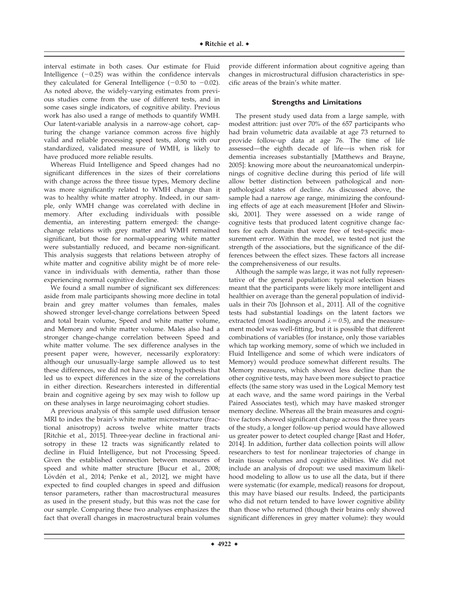interval estimate in both cases. Our estimate for Fluid Intelligence  $(-0.25)$  was within the confidence intervals they calculated for General Intelligence  $(-0.50$  to  $-0.02)$ . As noted above, the widely-varying estimates from previous studies come from the use of different tests, and in some cases single indicators, of cognitive ability. Previous work has also used a range of methods to quantify WMH. Our latent-variable analysis in a narrow-age cohort, capturing the change variance common across five highly valid and reliable processing speed tests, along with our standardized, validated measure of WMH, is likely to have produced more reliable results.

Whereas Fluid Intelligence and Speed changes had no significant differences in the sizes of their correlations with change across the three tissue types, Memory decline was more significantly related to WMH change than it was to healthy white matter atrophy. Indeed, in our sample, only WMH change was correlated with decline in memory. After excluding individuals with possible dementia, an interesting pattern emerged: the changechange relations with grey matter and WMH remained significant, but those for normal-appearing white matter were substantially reduced, and became non-significant. This analysis suggests that relations between atrophy of white matter and cognitive ability might be of more relevance in individuals with dementia, rather than those experiencing normal cognitive decline.

We found a small number of significant sex differences: aside from male participants showing more decline in total brain and grey matter volumes than females, males showed stronger level-change correlations between Speed and total brain volume, Speed and white matter volume, and Memory and white matter volume. Males also had a stronger change-change correlation between Speed and white matter volume. The sex difference analyses in the present paper were, however, necessarily exploratory: although our unusually-large sample allowed us to test these differences, we did not have a strong hypothesis that led us to expect differences in the size of the correlations in either direction. Researchers interested in differential brain and cognitive ageing by sex may wish to follow up on these analyses in large neuroimaging cohort studies.

A previous analysis of this sample used diffusion tensor MRI to index the brain's white matter microstructure (fractional anisotropy) across twelve white matter tracts [Ritchie et al., 2015]. Three-year decline in fractional anisotropy in these 12 tracts was significantly related to decline in Fluid Intelligence, but not Processing Speed. Given the established connection between measures of speed and white matter structure [Bucur et al., 2008; Lövdén et al., 2014; Penke et al., 2012], we might have expected to find coupled changes in speed and diffusion tensor parameters, rather than macrostructural measures as used in the present study, but this was not the case for our sample. Comparing these two analyses emphasizes the fact that overall changes in macrostructural brain volumes

provide different information about cognitive ageing than changes in microstructural diffusion characteristics in specific areas of the brain's white matter.

#### **Strengths and Limitations**

The present study used data from a large sample, with modest attrition: just over 70% of the 657 participants who had brain volumetric data available at age 73 returned to provide follow-up data at age 76. The time of life assessed—the eighth decade of life—is when risk for dementia increases substantially [Matthews and Brayne, 2005]: knowing more about the neuroanatomical underpinnings of cognitive decline during this period of life will allow better distinction between pathological and nonpathological states of decline. As discussed above, the sample had a narrow age range, minimizing the confounding effects of age at each measurement [Hofer and Sliwinski, 2001]. They were assessed on a wide range of cognitive tests that produced latent cognitive change factors for each domain that were free of test-specific measurement error. Within the model, we tested not just the strength of the associations, but the significance of the differences between the effect sizes. These factors all increase the comprehensiveness of our results.

Although the sample was large, it was not fully representative of the general population: typical selection biases meant that the participants were likely more intelligent and healthier on average than the general population of individuals in their 70s [Johnson et al., 2011]. All of the cognitive tests had substantial loadings on the latent factors we extracted (most loadings around  $\lambda = 0.5$ ), and the measurement model was well-fitting, but it is possible that different combinations of variables (for instance, only those variables which tap working memory, some of which we included in Fluid Intelligence and some of which were indicators of Memory) would produce somewhat different results. The Memory measures, which showed less decline than the other cognitive tests, may have been more subject to practice effects (the same story was used in the Logical Memory test at each wave, and the same word pairings in the Verbal Paired Associates test), which may have masked stronger memory decline. Whereas all the brain measures and cognitive factors showed significant change across the three years of the study, a longer follow-up period would have allowed us greater power to detect coupled change [Rast and Hofer, 2014]. In addition, further data collection points will allow researchers to test for nonlinear trajectories of change in brain tissue volumes and cognitive abilities. We did not include an analysis of dropout: we used maximum likelihood modeling to allow us to use all the data, but if there were systematic (for example, medical) reasons for dropout, this may have biased our results. Indeed, the participants who did not return tended to have lower cognitive ability than those who returned (though their brains only showed significant differences in grey matter volume): they would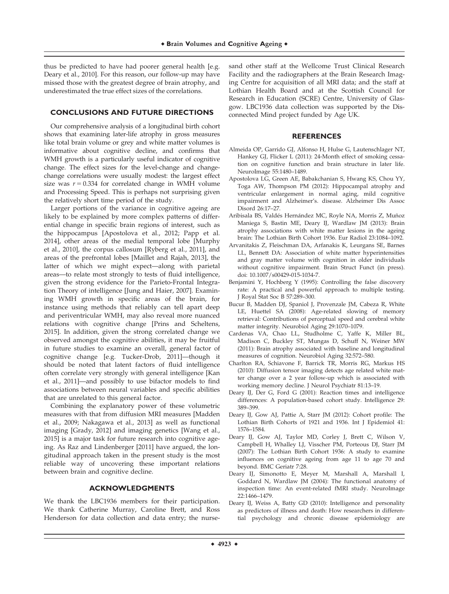thus be predicted to have had poorer general health [e.g. Deary et al., 2010]. For this reason, our follow-up may have missed those with the greatest degree of brain atrophy, and underestimated the true effect sizes of the correlations.

#### **CONCLUSIONS AND FUTURE DIRECTIONS**

Our comprehensive analysis of a longitudinal birth cohort shows that examining later-life atrophy in gross measures like total brain volume or grey and white matter volumes is informative about cognitive decline, and confirms that WMH growth is a particularly useful indicator of cognitive change. The effect sizes for the level-change and changechange correlations were usually modest: the largest effect size was  $r = 0.334$  for correlated change in WMH volume and Processing Speed. This is perhaps not surprising given the relatively short time period of the study.

Larger portions of the variance in cognitive ageing are likely to be explained by more complex patterns of differential change in specific brain regions of interest, such as the hippocampus [Apostolova et al., 2012; Papp et al. 2014], other areas of the medial temporal lobe [Murphy et al., 2010], the corpus callosum [Ryberg et al., 2011], and areas of the prefrontal lobes [Maillet and Rajah, 2013], the latter of which we might expect—along with parietal areas—to relate most strongly to tests of fluid intelligence, given the strong evidence for the Parieto-Frontal Integration Theory of intelligence [Jung and Haier, 2007]. Examining WMH growth in specific areas of the brain, for instance using methods that reliably can tell apart deep and periventricular WMH, may also reveal more nuanced relations with cognitive change [Prins and Scheltens, 2015]. In addition, given the strong correlated change we observed amongst the cognitive abilities, it may be fruitful in future studies to examine an overall, general factor of cognitive change [e.g. Tucker-Drob, 2011]—though it should be noted that latent factors of fluid intelligence often correlate very strongly with general intelligence [Kan et al., 2011]—and possibly to use bifactor models to find associations between neural variables and specific abilities that are unrelated to this general factor.

Combining the explanatory power of these volumetric measures with that from diffusion MRI measures [Madden et al., 2009; Nakagawa et al., 2013] as well as functional imaging [Grady, 2012] and imaging genetics [Wang et al., 2015] is a major task for future research into cognitive ageing. As Raz and Lindenberger [2011] have argued, the longitudinal approach taken in the present study is the most reliable way of uncovering these important relations between brain and cognitive decline.

#### **ACKNOWLEDGMENTS**

We thank the LBC1936 members for their participation. We thank Catherine Murray, Caroline Brett, and Ross Henderson for data collection and data entry; the nurse-

sand other staff at the Wellcome Trust Clinical Research Facility and the radiographers at the Brain Research Imaging Centre for acquisition of all MRI data; and the staff at Lothian Health Board and at the Scottish Council for Research in Education (SCRE) Centre, University of Glasgow. LBC1936 data collection was supported by the Disconnected Mind project funded by Age UK.

#### **REFERENCES**

- Almeida OP, Garrido GJ, Alfonso H, Hulse G, Lautenschlager NT, Hankey GJ, Flicker L (2011): 24-Month effect of smoking cessation on cognitive function and brain structure in later life. NeuroImage 55:1480–1489.
- Apostolova LG, Green AE, Babakchanian S, Hwang KS, Chou YY, Toga AW, Thompson PM (2012): Hippocampal atrophy and ventricular enlargement in normal aging, mild cognitive impairment and Alzheimer's. disease. Alzheimer Dis Assoc Disord 26:17–27.
- Aribisala BS, Valdés Hernández MC, Royle NA, Morris Z, Muñoz Maniega S, Bastin ME, Deary IJ, Wardlaw JM (2013): Brain atrophy associations with white matter lesions in the ageing brain: The Lothian Birth Cohort 1936. Eur Radiol 23:1084–1092.
- Arvanitakis Z, Fleischman DA, Arfanakis K, Leurgans SE, Barnes LL, Bennett DA: Association of white matter hyperintensities and gray matter volume with cognition in older individuals without cognitive impairment. Brain Struct Funct (in press). doi: 10.1007/s00429-015-1034-7.
- Benjamini Y, Hochberg Y (1995): Controlling the false discovery rate: A practical and powerful approach to multiple testing. J Royal Stat Soc B 57:289–300.
- Bucur B, Madden DJ, Spaniol J, Provenzale JM, Cabeza R, White LE, Huettel SA (2008): Age-related slowing of memory retrieval: Contributions of perceptual speed and cerebral white matter integrity. Neurobiol Aging 29:1070–1079.
- Cardenas VA, Chao LL, Studholme C, Yaffe K, Miller BL, Madison C, Buckley ST, Mungas D, Schuff N, Weiner MW (2011): Brain atrophy associated with baseline and longitudinal measures of cognition. Neurobiol Aging 32:572–580.
- Charlton RA, Schiavone F, Barrick TR, Morris RG, Markus HS (2010): Diffusion tensor imaging detects age related white matter change over a 2 year follow-up which is associated with working memory decline. J Neurol Psychiatr 81:13–19.
- Deary IJ, Der G, Ford G (2001): Reaction times and intelligence differences: A population-based cohort study. Intelligence 29: 389–399.
- Deary IJ, Gow AJ, Pattie A, Starr JM (2012): Cohort profile: The Lothian Birth Cohorts of 1921 and 1936. Int J Epidemiol 41: 1576–1584.
- Deary IJ, Gow AJ, Taylor MD, Corley J, Brett C, Wilson V, Campbell H, Whalley LJ, Visscher PM, Porteous DJ, Starr JM (2007): The Lothian Birth Cohort 1936: A study to examine influences on cognitive ageing from age 11 to age 70 and beyond. BMC Geriatr 7:28.
- Deary IJ, Simonotto E, Meyer M, Marshall A, Marshall I, Goddard N, Wardlaw JM (2004): The functional anatomy of inspection time: An event-related fMRI study. NeuroImage 22:1466–1479.
- Deary IJ, Weiss A, Batty GD (2010): Intelligence and personality as predictors of illness and death: How researchers in differential psychology and chronic disease epidemiology are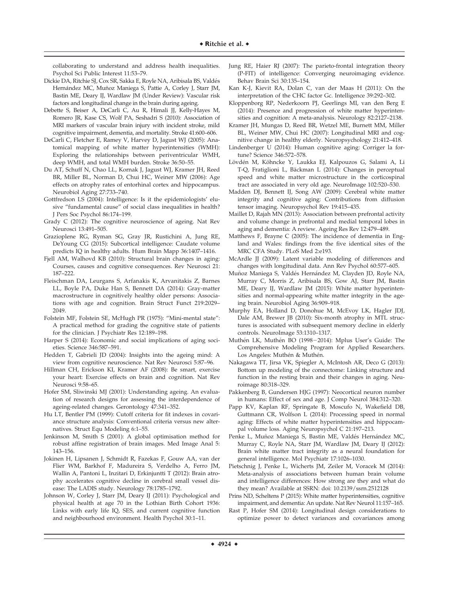collaborating to understand and address health inequalities. Psychol Sci Public Interest 11:53–79.

- Dickie DA, Ritchie SJ, Cox SR, Sakka E, Royle NA, Aribisala BS, Valdés Hernández MC, Muñoz Maniega S, Pattie A, Corley J, Starr JM, Bastin ME, Deary IJ, Wardlaw JM (Under Review): Vascular risk factors and longitudinal change in the brain during ageing.
- Debette S, Beiser A, DeCarli C, Au R, Himali JJ, Kelly-Hayes M, Romero JR, Kase CS, Wolf PA, Seshadri S (2010): Association of MRI markers of vascular brain injury with incident stroke, mild cognitive impairment, dementia, and mortality. Stroke 41:600–606.
- DeCarli C, Fletcher E, Ramey V, Harvey D, Jagust WJ (2005): Anatomical mapping of white matter hyperintensities (WMH): Exploring the relationships between periventricular WMH, deep WMH, and total WMH burden. Stroke 36:50–55.
- Du AT, Schuff N, Chao LL, Kornak J, Jagust WJ, Kramer JH, Reed BR, Miller BL, Norman D, Chui HC, Weiner MW (2006): Age effects on atrophy rates of entorhinal cortex and hippocampus. Neurobiol Aging 27:733–740.
- Gottfredson LS (2004): Intelligence: Is it the epidemiologists' elusive "fundamental cause" of social class inequalities in health? J Pers Soc Psychol 86:174–199.
- Grady C (2012): The cognitive neuroscience of ageing. Nat Rev Neurosci 13:491–505.
- Grazioplene RG, Ryman SG, Gray JR, Rustichini A, Jung RE, DeYoung CG (2015): Subcortical intelligence: Caudate volume predicts IQ in healthy adults. Hum Brain Mapp 36:1407–1416.
- Fjell AM, Walhovd KB (2010): Structural brain changes in aging: Courses, causes and cognitive consequences. Rev Neurosci 21: 187–222.
- Fleischman DA, Leurgans S, Arfanakis K, Arvanitakis Z, Barnes LL, Boyle PA, Duke Han S, Bennett DA (2014): Gray-matter macrostructure in cognitively healthy older persons: Associations with age and cognition. Brain Struct Funct 219:2029– 2049.
- Folstein MF, Folstein SE, McHugh PR (1975): "Mini-mental state": A practical method for grading the cognitive state of patients for the clinician. J Psychiatr Res 12:189–198.
- Harper S (2014): Economic and social implications of aging societies. Science 346:587–591.
- Hedden T, Gabrieli JD (2004): Insights into the ageing mind: A view from cognitive neuroscience. Nat Rev Neurosci 5:87–96.
- Hillman CH, Erickson KI, Kramer AF (2008): Be smart, exercise your heart: Exercise effects on brain and cognition. Nat Rev Neurosci 9:58–65.
- Hofer SM, Sliwinski MJ (2001): Understanding ageing. An evaluation of research designs for assessing the interdependence of ageing-related changes. Gerontology 47:341–352.
- Hu LT, Bentler PM (1999): Cutoff criteria for fit indexes in covariance structure analysis: Conventional criteria versus new alternatives. Struct Equ Modeling 6:1–55.
- Jenkinson M, Smith S (2001): A global optimisation method for robust affine registration of brain images. Med Image Anal 5: 143–156.
- Jokinen H, Lipsanen J, Schmidt R, Fazekas F, Gouw AA, van der Flier WM, Barkhof F, Madureira S, Verdelho A, Ferro JM, Wallin A, Pantoni L, Inzitari D, Erkinjuntti T (2012): Brain atrophy accelerates cognitive decline in cerebral small vessel disease: The LADIS study. Neurology 78:1785–1792.
- Johnson W, Corley J, Starr JM, Deary IJ (2011): Psychological and physical health at age 70 in the Lothian Birth Cohort 1936: Links with early life IQ, SES, and current cognitive function and neighbourhood environment. Health Psychol 30:1–11.
- Jung RE, Haier RJ (2007): The parieto-frontal integration theory (P-FIT) of intelligence: Converging neuroimaging evidence. Behav Brain Sci 30:135–154.
- Kan K-J, Kievit RA, Dolan C, van der Maas H (2011): On the interpretation of the CHC factor Gc. Intelligence 39:292–302.
- Kloppenborg RP, Nederkoorn PJ, Geerlings MI, van den Berg E (2014): Presence and progression of white matter hyperintensities and cognition: A meta-analysis. Neurology 82:2127–2138.
- Kramer JH, Mungas D, Reed BR, Wetzel ME, Burnett MM, Miller BL, Weiner MW, Chui HC (2007): Longitudinal MRI and cognitive change in healthy elderly. Neuropsychology 21:412–418.
- Lindenberger U (2014): Human cognitive aging: Corriger la fortune? Science 346:572–578.
- Lövdén M, Köhncke Y, Laukka EJ, Kalpouzos G, Salami A, Li T-Q, Fratiglioni L, Bäckman L (2014): Changes in perceptual speed and white matter microstructure in the corticospinal tract are associated in very old age. NeuroImage 102:520–530.
- Madden DJ, Bennett IJ, Song AW (2009): Cerebral white matter integrity and cognitive aging: Contributions from diffusion tensor imaging. Neuropsychol Rev 19:415–435.
- Maillet D, Rajah MN (2013): Association between prefrontal activity and volume change in prefrontal and medial temporal lobes in aging and dementia: A review. Ageing Res Rev 12:479–489.
- Matthews F, Brayne C (2005): The incidence of dementia in England and Wales: findings from the five identical sites of the MRC CFA Study. PLoS Med 2:e193.
- McArdle JJ (2009): Latent variable modeling of differences and changes with longitudinal data. Ann Rev Psychol 60:577–605.
- Muñoz Maniega S, Valdés Hernández M, Clayden JD, Royle NA, Murray C, Morris Z, Aribisala BS, Gow AJ, Starr JM, Bastin ME, Deary IJ, Wardlaw JM (2015): White matter hyperintensities and normal-appearing white matter integrity in the ageing brain. Neurobiol Aging 36:909–918.
- Murphy EA, Holland D, Donohue M, McEvoy LK, Hagler JDJ, Dale AM, Brewer JB (2010): Six-month atrophy in MTL structures is associated with subsequent memory decline in elderly controls. NeuroImage 53:1310–1317.
- Muthén LK, Muthén BO (1998–2014): Mplus User's Guide: The Comprehensive Modeling Program for Applied Researchers. Los Angeles: Muthén & Muthén.
- Nakagawa TT, Jirsa VK, Spiegler A, McIntosh AR, Deco G (2013): Bottom up modeling of the connectome: Linking structure and function in the resting brain and their changes in aging. Neuroimage 80:318–329.
- Pakkenberg B, Gundersen HJG (1997): Neocortical neuron number in humans: Effect of sex and age. J Comp Neurol 384:312–320.
- Papp KV, Kaplan RF, Springate B, Moscufo N, Wakefield DB, Guttmann CR, Wolfson L (2014): Processing speed in normal aging: Effects of white matter hyperintensities and hippocampal volume loss. Aging Neuropsychol C 21:197–213.
- Penke L, Muñoz Maniega S, Bastin ME, Valdés Hernández MC, Murray C, Royle NA, Starr JM, Wardlaw JM, Deary IJ (2012): Brain white matter tract integrity as a neural foundation for general intelligence. Mol Psychiatr 17:1026–1030.
- Pietschnig J, Penke L, Wicherts JM, Zeiler M, Voracek M (2014): Meta-analysis of associations between human brain volume and intelligence differences: How strong are they and what do they mean? Available at SSRN: doi: [10.2139/ssrn.2512128](info:doi/10.2139/ssrn.2512128)
- Prins ND, Scheltens P (2015): White matter hyperintensities, cognitive impairment, and dementia: An update. Nat Rev Neurol 11:157–165.
- Rast P, Hofer SM (2014): Longitudinal design considerations to optimize power to detect variances and covariances among